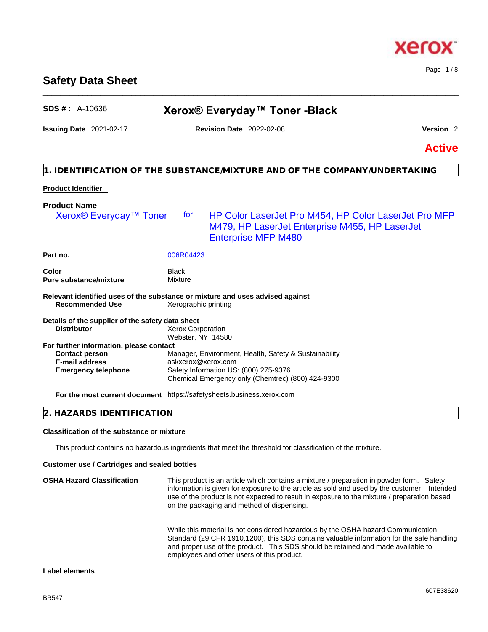# **Safety Data Sheet**

# **SDS # :** A-10636 **Xerox® Everyday™ Toner -Black**

\_\_\_\_\_\_\_\_\_\_\_\_\_\_\_\_\_\_\_\_\_\_\_\_\_\_\_\_\_\_\_\_\_\_\_\_\_\_\_\_\_\_\_\_\_\_\_\_\_\_\_\_\_\_\_\_\_\_\_\_\_\_\_\_\_\_\_\_\_\_\_\_\_\_\_\_\_\_\_\_\_\_\_\_\_\_\_\_\_\_\_\_\_\_

# **Issuing Date** 2021-02-17 **Revision Date** 2022-02-08 **Version** 2

**Active**

# **1. IDENTIFICATION OF THE SUBSTANCE/MIXTURE AND OF THE COMPANY/UNDERTAKING**

# **Product Identifier**

| <b>Product Name</b>                                                           |                                        |                                                                                                                                              |
|-------------------------------------------------------------------------------|----------------------------------------|----------------------------------------------------------------------------------------------------------------------------------------------|
| Xerox <sup>®</sup> Everyday <sup>™</sup> Toner                                | for                                    | <b>HP Color LaserJet Pro M454, HP Color LaserJet Pro MFP</b><br>M479, HP LaserJet Enterprise M455, HP LaserJet<br><b>Enterprise MFP M480</b> |
| Part no.                                                                      | 006R04423                              |                                                                                                                                              |
| Color<br><b>Pure substance/mixture</b>                                        | Black<br>Mixture                       |                                                                                                                                              |
| Relevant identified uses of the substance or mixture and uses advised against |                                        |                                                                                                                                              |
| <b>Recommended Use</b>                                                        | Xerographic printing                   |                                                                                                                                              |
| Details of the supplier of the safety data sheet                              |                                        |                                                                                                                                              |
| <b>Distributor</b>                                                            | Xerox Corporation<br>Webster, NY 14580 |                                                                                                                                              |
| For further information, please contact                                       |                                        |                                                                                                                                              |
| <b>Contact person</b>                                                         |                                        | Manager, Environment, Health, Safety & Sustainability                                                                                        |
| <b>E-mail address</b>                                                         | askxerox@xerox.com                     |                                                                                                                                              |
| <b>Emergency telephone</b>                                                    |                                        | Safety Information US: (800) 275-9376                                                                                                        |
|                                                                               |                                        | Chemical Emergency only (Chemtrec) (800) 424-9300                                                                                            |
| For the most current document https://safetysheets.business.xerox.com         |                                        |                                                                                                                                              |

# **2. HAZARDS IDENTIFICATION**

# **Classification of the substance or mixture**

This product contains no hazardous ingredients that meet the threshold for classification of the mixture.

# **Customer use / Cartridges and sealed bottles**

**OSHA Hazard Classification** This product is an article which contains a mixture / preparation in powder form. Safety information is given for exposure to the article as sold and used by the customer. Intended use of the product is not expected to result in exposure to the mixture / preparation based on the packaging and method of dispensing.

While this material is not considered hazardous by the OSHA hazard Communication Standard (29 CFR 1910.1200), this SDS contains valuable information for the safe handling and proper use of the product. This SDS should be retained and made available to employees and other users of this product.

# **Label elements**



Page 1 / 8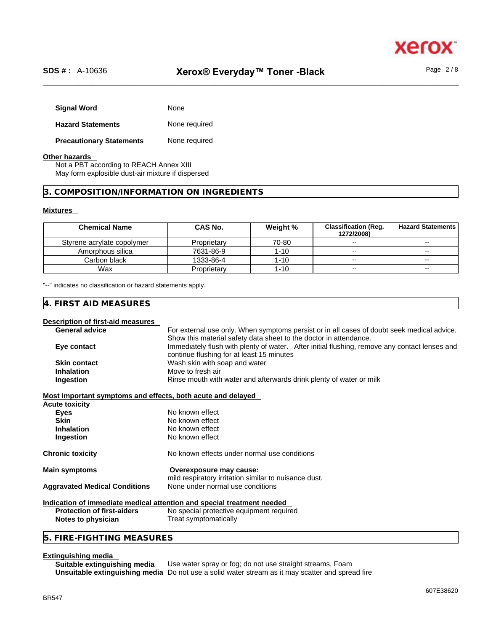

Page 2 / 8

| <b>Signal Word</b>              | None          |
|---------------------------------|---------------|
| <b>Hazard Statements</b>        | None required |
| <b>Precautionary Statements</b> | None required |

### **Other hazards**

Not a PBT according to REACH Annex XIII May form explosible dust-air mixture if dispersed

### **3. COMPOSITION/INFORMATION ON INGREDIENTS**

### **Mixtures**

| <b>Chemical Name</b>       | CAS No.     | Weight % | <b>Classification (Reg.</b><br>1272/2008) | l Hazard Statements I |
|----------------------------|-------------|----------|-------------------------------------------|-----------------------|
| Styrene acrylate copolymer | Proprietary | 70-80    | $\sim$                                    | $\sim$                |
| Amorphous silica           | 7631-86-9   | 1-10     | $\sim$                                    | $\sim$                |
| Carbon black               | 1333-86-4   | 1-10     | $\overline{\phantom{a}}$                  | $\sim$                |
| Wax                        | Proprietary | 1-10     | $\sim$                                    | $- -$                 |

"--" indicates no classification or hazard statements apply.

# **4. FIRST AID MEASURES**

### **Description of first-aid measures**

| <b>General advice</b> | For external use only. When symptoms persist or in all cases of doubt seek medical advice.    |  |  |  |
|-----------------------|-----------------------------------------------------------------------------------------------|--|--|--|
|                       | Show this material safety data sheet to the doctor in attendance.                             |  |  |  |
| Eye contact           | Immediately flush with plenty of water. After initial flushing, remove any contact lenses and |  |  |  |
|                       | continue flushing for at least 15 minutes                                                     |  |  |  |
| <b>Skin contact</b>   | Wash skin with soap and water                                                                 |  |  |  |
| <b>Inhalation</b>     | Move to fresh air                                                                             |  |  |  |
| Ingestion             | Rinse mouth with water and afterwards drink plenty of water or milk                           |  |  |  |
|                       |                                                                                               |  |  |  |

### **Most important symptoms and effects, both acute and delayed**

| <b>Acute toxicity</b>                |                                                                                  |  |
|--------------------------------------|----------------------------------------------------------------------------------|--|
| Eyes                                 | No known effect                                                                  |  |
| <b>Skin</b>                          | No known effect                                                                  |  |
| <b>Inhalation</b>                    | No known effect                                                                  |  |
| <b>Ingestion</b>                     | No known effect                                                                  |  |
| <b>Chronic toxicity</b>              | No known effects under normal use conditions                                     |  |
| <b>Main symptoms</b>                 | Overexposure may cause:<br>mild respiratory irritation similar to nuisance dust. |  |
| <b>Aggravated Medical Conditions</b> | None under normal use conditions                                                 |  |
|                                      | ladisatian af immediate medical attentian and enesial treatment needsel          |  |

### **Indication of immediate medical attention and special treatment needed**

**Protection of first-aiders** No special protective equipment required **Notes to physician** Treat symptomatically

# **5. FIRE-FIGHTING MEASURES**

# **Extinguishing media**

**Suitable extinguishing media** Use water spray or fog; do not use straight streams, Foam **Unsuitable extinguishing media** Do not use a solid water stream as it may scatterand spread fire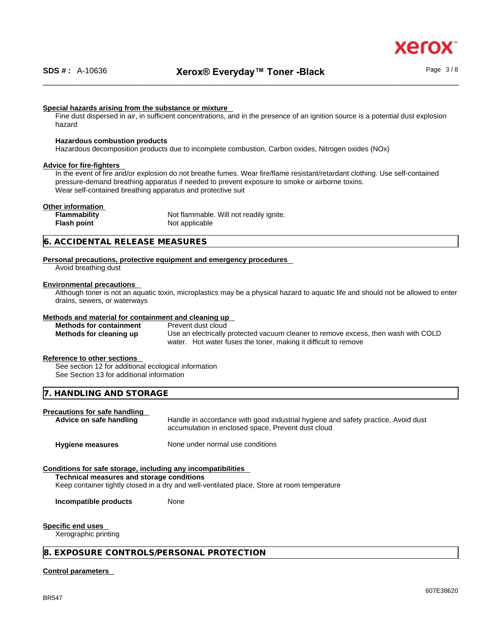

### **Special hazards arising from the substance or mixture**

Fine dust dispersed in air, in sufficient concentrations, and in the presence of an ignition source is a potential dust explosion hazard

### **Hazardous combustion products**

Hazardous decomposition products due to incomplete combustion, Carbon oxides, Nitrogen oxides (NOx)

### **Advice for fire-fighters**

In the event of fire and/or explosion do not breathe fumes. Wear fire/flame resistant/retardant clothing. Use self-contained pressure-demand breathing apparatus if needed to prevent exposure to smoke or airborne toxins. Wear self-contained breathing apparatus and protective suit

### **Other information**

**Flammability** Not flammable. Will not readily ignite. **Flash point** Not applicable

### **6. ACCIDENTAL RELEASE MEASURES**

### **Personal precautions, protective equipment and emergency procedures**

Avoid breathing dust

### **Environmental precautions**

Although toner is not an aquatic toxin, microplastics may be a physical hazard to aquatic life and should not be allowed to enter drains, sewers, or waterways

### **Methods and material for containment and cleaning up**

**Methods for containment** Prevent dust cloud

**Methods for cleaning up** Use an electrically protected vacuum cleaner to remove excess, then wash with COLD water. Hot water fuses the toner, making it difficult to remove

### **Reference to other sections**

See section 12 for additional ecological information See Section 13 for additional information

### **7. HANDLING AND STORAGE**

## **Precautions for safe handling**

**Advice on safe handling** Handle in accordance with good industrial hygiene and safety practice, Avoid dust accumulation in enclosed space, Prevent dust cloud

**Hygiene measures** None under normal use conditions

### **Conditions for safe storage, including any incompatibilities**

**Technical measures and storage conditions**

Keep container tightly closed in a dry and well-ventilated place, Store at room temperature

**Incompatible products** None

### **Specific end uses**

Xerographic printing

### **8. EXPOSURE CONTROLS/PERSONAL PROTECTION**

### **Control parameters**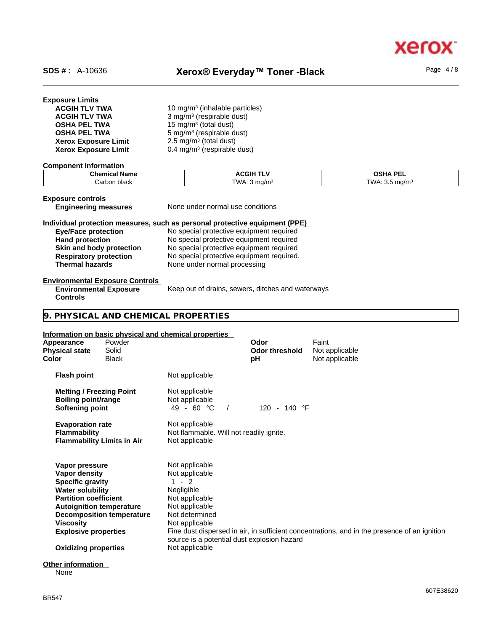xero

| <b>Exposure Limits</b> |  |
|------------------------|--|
| <b>ACGIH TLV TWA</b>   |  |
| <b>ACGIH TLV TWA</b>   |  |

| <b>ACGIH TLV TWA</b>        | 10 mg/m <sup>3</sup> (inhalable particles) |
|-----------------------------|--------------------------------------------|
| <b>ACGIH TLV TWA</b>        | $3$ mg/m <sup>3</sup> (respirable dust)    |
| <b>OSHA PEL TWA</b>         | 15 mg/m <sup>3</sup> (total dust)          |
| <b>OSHA PEL TWA</b>         | 5 mg/m <sup>3</sup> (respirable dust)      |
| <b>Xerox Exposure Limit</b> | $2.5 \text{ mg/m}^3$ (total dust)          |
| <b>Xerox Exposure Limit</b> | 0.4 mg/m <sup>3</sup> (respirable dust)    |

### **Component Information**

| <b>Chemical Name</b>       | <b>ACGIF</b> | <br>$\sim$ $\sim$<br>-- |
|----------------------------|--------------|-------------------------|
| hlook<br>' arbon.<br>Diack | TWA.<br>ma/m | -WA-<br>ma/m            |

**Exposure controls**<br> **Engineering measures** 

**None under normal use conditions** 

# **Individual protection measures, such as personal protective equipment (PPE)**

| <b>Eye/Face protection</b>    | No special protective equipment required  |
|-------------------------------|-------------------------------------------|
| <b>Hand protection</b>        | No special protective equipment required  |
| Skin and body protection      | No special protective equipment required  |
| <b>Respiratory protection</b> | No special protective equipment required. |
| <b>Thermal hazards</b>        | None under normal processing              |

# **Environmental Exposure Controls**

**Environmental Exposure Controls**  Keep out of drains, sewers, ditches and waterways

# **9. PHYSICAL AND CHEMICAL PROPERTIES**

### **Information on basic physical and chemical properties**

| Appearance<br><b>Physical state</b><br>Color                                                                                                                      | Powder<br>Solid<br><b>Black</b>                                     |                                                                                                                                                                                     | Odor<br><b>Odor threshold</b><br>рH | Faint<br>Not applicable<br>Not applicable                                                    |
|-------------------------------------------------------------------------------------------------------------------------------------------------------------------|---------------------------------------------------------------------|-------------------------------------------------------------------------------------------------------------------------------------------------------------------------------------|-------------------------------------|----------------------------------------------------------------------------------------------|
| <b>Flash point</b>                                                                                                                                                |                                                                     | Not applicable                                                                                                                                                                      |                                     |                                                                                              |
| <b>Melting / Freezing Point</b><br><b>Boiling point/range</b><br>Softening point                                                                                  |                                                                     | Not applicable<br>Not applicable<br>$49 - 60 °C$                                                                                                                                    | 120 - 140 °F                        |                                                                                              |
| <b>Evaporation rate</b><br><b>Flammability</b>                                                                                                                    | <b>Flammability Limits in Air</b>                                   | Not applicable<br>Not flammable. Will not readily ignite.<br>Not applicable                                                                                                         |                                     |                                                                                              |
| Vapor pressure<br>Vapor density<br><b>Specific gravity</b><br><b>Water solubility</b><br><b>Partition coefficient</b><br>Viscosity<br><b>Explosive properties</b> | <b>Autoignition temperature</b><br><b>Decomposition temperature</b> | Not applicable<br>Not applicable<br>$-2$<br>1.<br>Negligible<br>Not applicable<br>Not applicable<br>Not determined<br>Not applicable<br>source is a potential dust explosion hazard |                                     | Fine dust dispersed in air, in sufficient concentrations, and in the presence of an ignition |
| <b>Oxidizing properties</b>                                                                                                                                       |                                                                     | Not applicable                                                                                                                                                                      |                                     |                                                                                              |
| $\bigcap_{i=1}^{n}$ and a resolution                                                                                                                              |                                                                     |                                                                                                                                                                                     |                                     |                                                                                              |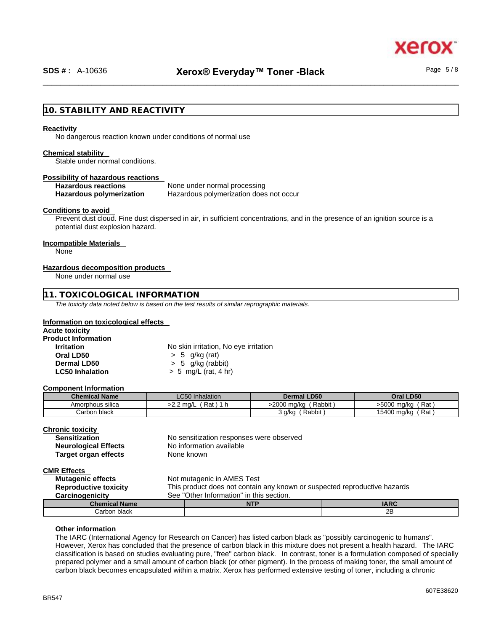xerc

# **10. STABILITY AND REACTIVITY**

#### **Reactivity**

No dangerous reaction known under conditions of normal use

#### **Chemical stability**

Stable under normal conditions.

### **Possibility of hazardous reactions**

# **Hazardous reactions** None under normal processing

**Hazardous polymerization** Hazardous polymerization does not occur

### **Conditions to avoid**

Prevent dust cloud. Fine dust dispersed in air, in sufficient concentrations, and in the presence of an ignition source is a potential dust explosion hazard.

# **Incompatible Materials**

None

### **Hazardous decomposition products**

None under normal use

### **11. TOXICOLOGICAL INFORMATION**

*The toxicity data noted below is based on the test results of similar reprographic materials.* 

### **Information on toxicological effects**

| Acute toxicity             |                                       |  |
|----------------------------|---------------------------------------|--|
| <b>Product Information</b> |                                       |  |
| <b>Irritation</b>          | No skin irritation, No eye irritation |  |
| Oral LD50                  | $> 5$ g/kg (rat)                      |  |
| Dermal LD50                | $> 5$ g/kg (rabbit)                   |  |
| <b>LC50 Inhalation</b>     | $> 5$ mg/L (rat, 4 hr)                |  |

### **Component Information**

| <b>Chemical Name</b> | <b>LC50</b> Inhalation | <b>Dermal LD50</b>    | Oral LD50            |
|----------------------|------------------------|-----------------------|----------------------|
| Amorphous silica     | Rat<br>>2.2 ma/L<br>ா  | >2000 mg/kg<br>Rabbit | Rat<br>>5000 mg/kg   |
| Carbon black         |                        | Rabbit<br>3 g/ka      | ∫ Rat<br>15400 mg/kg |

### **Chronic toxicity**

| <b>Sensitization</b>        | N |
|-----------------------------|---|
| <b>Neurological Effects</b> | N |
| <b>Target organ effects</b> | N |

**Io sensitization responses were observed Io** information available **Target organ effects** None known

**CMR Effects** 

**Not mutagenic in AMES Test Reproductive toxicity** This product does not contain any known or suspected reproductive hazards **Carcinogenicity** See "Other Information" in this section. **Chemical Name NTP IARC**  Carbon black 2B

### **Other information**

The IARC (International Agency for Research on Cancer) has listed carbon black as "possibly carcinogenic to humans". However, Xerox has concluded that the presence of carbon black in this mixture does not present a health hazard. The IARC classification is based on studies evaluating pure, "free" carbon black. In contrast, toner is a formulation composed of specially prepared polymer and a small amount of carbon black (or other pigment). In the process of making toner, the small amount of carbon black becomes encapsulated within a matrix. Xerox has performed extensive testing of toner, including a chronic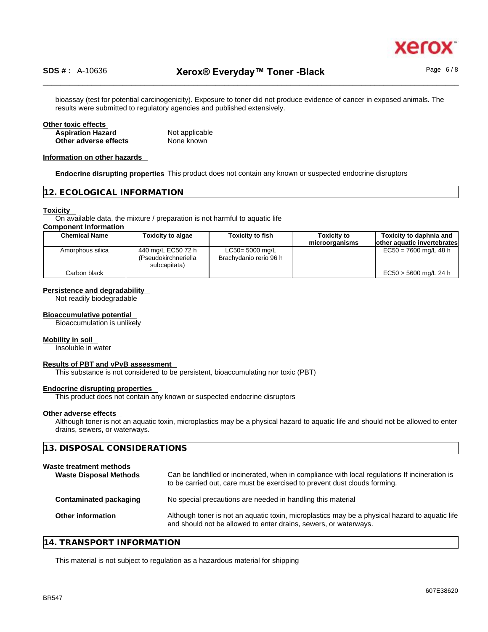

bioassay (test for potential carcinogenicity). Exposure to toner did not produce evidence of cancer in exposed animals. The results were submitted to regulatory agencies and published extensively.

### **Other toxic effects Aspiration Hazard** Not applicable **Other adverse effects** None known

### **Information on other hazards**

**Endocrine disrupting properties** This product does not contain any known or suspected endocrine disruptors

### **12. ECOLOGICAL INFORMATION**

### **Toxicity**

On available data, the mixture / preparation is not harmful to aquatic life

### **Component Information**

| <b>Chemical Name</b> | <b>Toxicity to algae</b>                                   | <b>Toxicity to fish</b>                      | <b>Toxicity to</b> | Toxicity to daphnia and     |
|----------------------|------------------------------------------------------------|----------------------------------------------|--------------------|-----------------------------|
|                      |                                                            |                                              | microorganisms     | other aquatic invertebrates |
| Amorphous silica     | 440 mg/L EC50 72 h<br>(Pseudokirchneriella<br>subcapitata) | $LC50 = 5000$ mg/L<br>Brachydanio rerio 96 h |                    | $EC50 = 7600$ mg/L 48 h     |
| Carbon black         |                                                            |                                              |                    | $EC50 > 5600$ mg/L 24 h     |

### **Persistence and degradability**

Not readily biodegradable

### **Bioaccumulative potential**

Bioaccumulation is unlikely

### **Mobility in soil**

Insoluble in water

### **Results of PBT and vPvB assessment**

This substance is not considered to be persistent, bioaccumulating nor toxic (PBT)

### **Endocrine disrupting properties**

This product does not contain any known or suspected endocrine disruptors

### **Other adverse effects**

Although toner is not an aquatic toxin, microplastics may be a physical hazard to aquatic life and should not be allowed to enter drains, sewers, or waterways.

| 13. DISPOSAL CONSIDERATIONS                              |                                                                                                                                                                             |  |
|----------------------------------------------------------|-----------------------------------------------------------------------------------------------------------------------------------------------------------------------------|--|
| Waste treatment methods<br><b>Waste Disposal Methods</b> | Can be landfilled or incinerated, when in compliance with local regulations If incineration is<br>to be carried out, care must be exercised to prevent dust clouds forming. |  |
| <b>Contaminated packaging</b>                            | No special precautions are needed in handling this material                                                                                                                 |  |
| Other information                                        | Although toner is not an aquatic toxin, microplastics may be a physical hazard to aquatic life<br>and should not be allowed to enter drains, sewers, or waterways.          |  |
|                                                          |                                                                                                                                                                             |  |

## **14. TRANSPORT INFORMATION**

This material is not subject to regulation as a hazardous material for shipping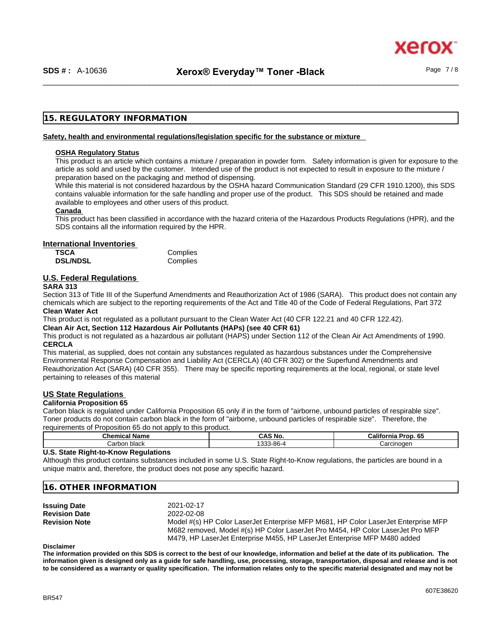xerc

# **15. REGULATORY INFORMATION**

### **Safety, health and environmental regulations/legislation specific for the substance or mixture**

### **OSHA Regulatory Status**

This product is an article which contains a mixture / preparation in powder form. Safety information is given for exposure to the article as sold and used by the customer. Intended use of the product is not expected to result in exposure to the mixture / preparation based on the packaging and method of dispensing.

While this material is not considered hazardous by the OSHA hazard Communication Standard (29 CFR 1910.1200), this SDS contains valuable information for the safe handling and proper use of the product. This SDS should be retained and made available to employees and other users of this product.

### **Canada**

This product has been classified in accordance with the hazard criteria of the Hazardous Products Regulations (HPR), and the SDS contains all the information required by the HPR.

### **International Inventories**

| <b>TSCA</b>     | Complies |
|-----------------|----------|
| <b>DSL/NDSL</b> | Complies |

# **U.S. Federal Regulations**

### **SARA 313**

Section 313 of Title III of the Superfund Amendments and Reauthorization Act of 1986 (SARA). This product does not contain any chemicals which are subject to the reporting requirements of the Act and Title 40 of the Code of Federal Regulations, Part 372 **Clean Water Act**

This product is not regulated as a pollutant pursuant to the Clean Water Act (40 CFR 122.21 and 40 CFR 122.42).

**Clean Air Act,Section 112 Hazardous Air Pollutants (HAPs) (see 40 CFR 61)**

This product is not regulated as a hazardous air pollutant (HAPS) under Section 112 of the Clean Air Act Amendments of 1990. **CERCLA**

This material, as supplied, does not contain any substances regulated as hazardous substances under the Comprehensive Environmental Response Compensation and Liability Act (CERCLA) (40 CFR 302) or the Superfund Amendments and Reauthorization Act (SARA) (40 CFR 355). There may be specific reporting requirements at the local, regional, or state level pertaining to releases of this material

# **US State Regulations**

# **California Proposition 65**

Carbon black is regulated under California Proposition 65 only if in the form of "airborne, unbound particles of respirable size". Toner products do not contain carbon black in the form of "airborne, unbound particles of respirable size". Therefore, the requirements of Proposition 65 do not apply to this product.

| $\overline{\phantom{a}}$<br><b>Chemical Name</b> | $\sim$<br>CAS<br>. NO | California<br><b>GF</b><br>Prop.<br>ຸບປ |
|--------------------------------------------------|-----------------------|-----------------------------------------|
| شarbon.<br>ı black                               | $\sim$<br>3-86-4<br>ື | Carcinoden                              |

### **U.S. State Right-to-Know Regulations**

Although this product contains substances included in some U.S. State Right-to-Know regulations, the particles are bound in a unique matrix and, therefore, the product does not pose any specific hazard.

### **16. OTHER INFORMATION**

| <b>Issuing Date</b>  | 2021-02-17                                                                         |
|----------------------|------------------------------------------------------------------------------------|
| <b>Revision Date</b> | 2022-02-08                                                                         |
| <b>Revision Note</b> | Model #(s) HP Color LaserJet Enterprise MFP M681, HP Color LaserJet Enterprise MFP |
|                      | M682 removed, Model #(s) HP Color LaserJet Pro M454, HP Color LaserJet Pro MFP     |
|                      | M479, HP LaserJet Enterprise M455, HP LaserJet Enterprise MFP M480 added           |

### **Disclaimer**

**The information provided on this SDS is correct to the best of our knowledge, information and belief at the date of its publication. The information given is designed only as a guide for safe handling, use, processing, storage, transportation, disposal and release and is not to be considered as a warranty or quality specification. The information relates only to the specific material designated and may not be**